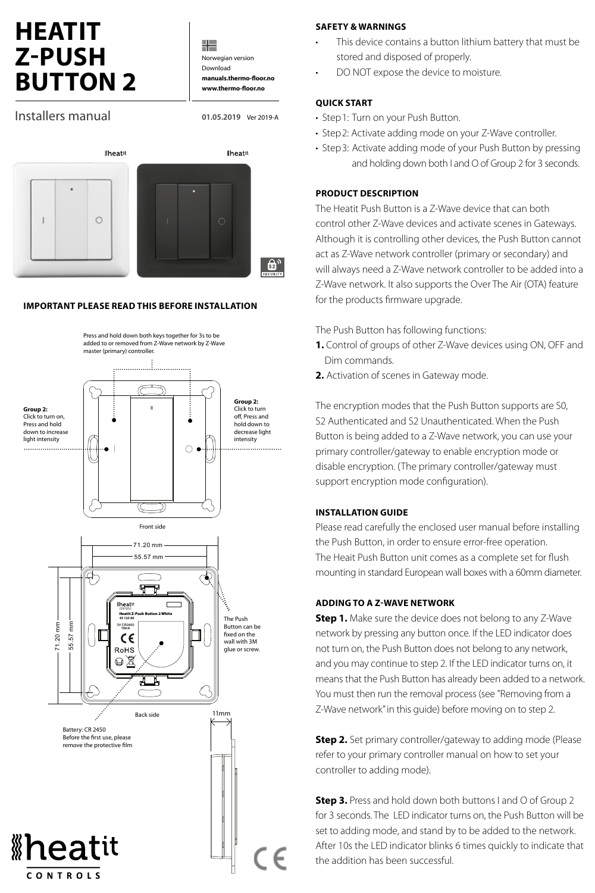# **HEATIT Z-PUSH BUTTON 2**

╬ Norwegian version Download **manuals.thermo-floor.no www.thermo-floor.no**

Installers manual

**01.05.2019** Ver 2019-A



#### **IMPORTANT PLEASE READ THIS BEFORE INSTALLATION**



#### **SAFETY & WARNINGS**

- This device contains a button lithium battery that must be stored and disposed of properly.
- DO NOT expose the device to moisture.

#### **QUICK START**

- Step1: Turn on your Push Button.
- Step2: Activate adding mode on your Z-Wave controller.
- Step3: Activate adding mode of your Push Button by pressing and holding down both I and O of Group 2 for 3 seconds.

#### **PRODUCT DESCRIPTION**

The Heatit Push Button is a Z-Wave device that can both control other Z-Wave devices and activate scenes in Gateways. Although it is controlling other devices, the Push Button cannot act as Z-Wave network controller (primary or secondary) and will always need a Z-Wave network controller to be added into a Z-Wave network. It also supports the Over The Air (OTA) feature for the products firmware upgrade.

The Push Button has following functions:

- **1.** Control of groups of other Z-Wave devices using ON, OFF and Dim commands.
- **2.** Activation of scenes in Gateway mode.

The encryption modes that the Push Button supports are S0, S2 Authenticated and S2 Unauthenticated. When the Push Button is being added to a Z-Wave network, you can use your primary controller/gateway to enable encryption mode or disable encryption. (The primary controller/gateway must support encryption mode configuration).

#### **INSTALLATION GUIDE**

Please read carefully the enclosed user manual before installing the Push Button, in order to ensure error-free operation. The Heait Push Button unit comes as a complete set for flush mounting in standard European wall boxes with a 60mm diameter.

#### **ADDING TO A Z-WAVE NETWORK**

**Step 1.** Make sure the device does not belong to any Z-Wave network by pressing any button once. If the LED indicator does not turn on, the Push Button does not belong to any network, and you may continue to step 2. If the LED indicator turns on, it means that the Push Button has already been added to a network. You must then run the removal process (see "Removing from a Z-Wave network" in this guide) before moving on to step 2.

**Step 2.** Set primary controller/gateway to adding mode (Please refer to your primary controller manual on how to set your controller to adding mode).

**Step 3.** Press and hold down both buttons I and O of Group 2 for 3 seconds. The LED indicator turns on, the Push Button will be set to adding mode, and stand by to be added to the network. After 10s the LED indicator blinks 6 times quickly to indicate that the addition has been successful.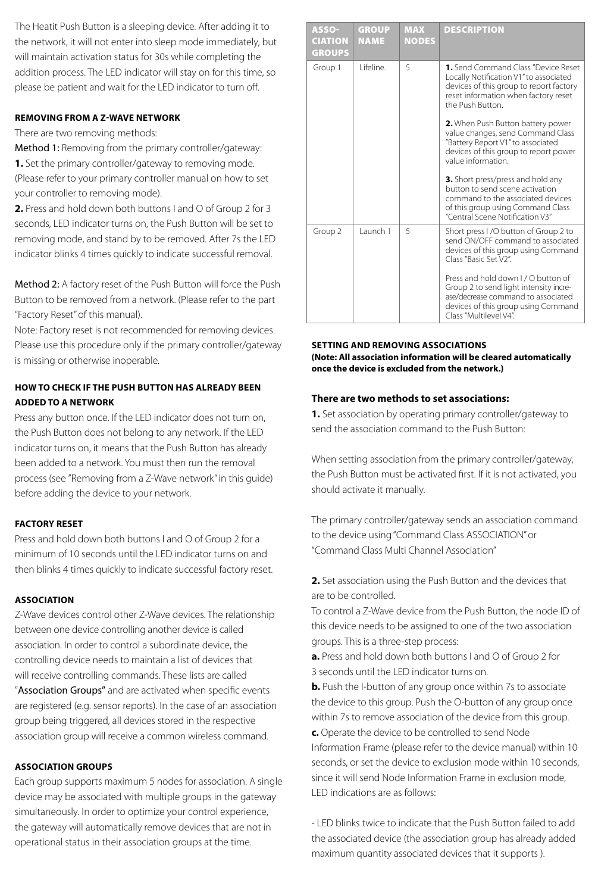The Heatit Push Button is a sleeping device. After adding it to the network, it will not enter into sleep mode immediately, but will maintain activation status for 30s while completing the addition process. The LED indicator will stay on for this time, so please be patient and wait for the LED indicator to turn off.

#### **REMOVING FROM A Z-WAVE NETWORK**

There are two removing methods:

Method 1: Removing from the primary controller/gateway:

**1.** Set the primary controller/gateway to removing mode. (Please refer to your primary controller manual on how to set your controller to removing mode).

**2.** Press and hold down both buttons I and O of Group 2 for 3 seconds, LED indicator turns on, the Push Button will be set to removing mode, and stand by to be removed. After 7s the LED indicator blinks 4 times quickly to indicate successful removal.

Method 2: A factory reset of the Push Button will force the Push Button to be removed from a network. (Please refer to the part "Factory Reset" of this manual).

Note: Factory reset is not recommended for removing devices. Please use this procedure only if the primary controller/gateway is missing or otherwise inoperable.

# **HOW TO CHECK IF THE PUSH BUTTON HAS ALREADY BEEN ADDED TO A NETWORK**

Press any button once. If the LED indicator does not turn on, the Push Button does not belong to any network. If the LED indicator turns on, it means that the Push Button has already been added to a network. You must then run the removal process (see "Removing from a Z-Wave network" in this guide) before adding the device to your network.

### **FACTORY RESET**

Press and hold down both buttons I and O of Group 2 for a minimum of 10 seconds until the LED indicator turns on and then blinks 4 times quickly to indicate successful factory reset.

### **ASSOCIATION**

Z-Wave devices control other Z-Wave devices. The relationship between one device controlling another device is called association. In order to control a subordinate device, the controlling device needs to maintain a list of devices that will receive controlling commands. These lists are called "Association Groups" and are activated when specific events are registered (e.g. sensor reports). In the case of an association group being triggered, all devices stored in the respective association group will receive a common wireless command.

#### **ASSOCIATION GROUPS**

Each group supports maximum 5 nodes for association. A single device may be associated with multiple groups in the gateway simultaneously. In order to optimize your control experience, the gateway will automatically remove devices that are not in operational status in their association groups at the time.

| <b>ASSO-</b><br><b>CIATION</b><br><b>GROUPS</b> | <b>GROUP</b><br><b>NAME</b> | <b>MAX</b><br><b>NODES</b>                                                                                                                                                                       | <b>DESCRIPTION</b>                                                                                                                                                                 |  |
|-------------------------------------------------|-----------------------------|--------------------------------------------------------------------------------------------------------------------------------------------------------------------------------------------------|------------------------------------------------------------------------------------------------------------------------------------------------------------------------------------|--|
| Group 1                                         | l ifeline                   | <b>1.</b> Send Command Class "Device Reset<br>5<br>Locally Notification V1" to associated<br>devices of this group to report factory<br>reset information when factory reset<br>the Push Button. |                                                                                                                                                                                    |  |
|                                                 |                             |                                                                                                                                                                                                  | 2. When Push Button battery power<br>value changes, send Command Class<br>"Battery Report V1" to associated<br>devices of this group to report power<br>value information          |  |
|                                                 |                             |                                                                                                                                                                                                  | 3. Short press/press and hold any<br>button to send scene activation<br>command to the associated devices<br>of this group using Command Class<br>"Central Scene Notification V3"  |  |
| Group 2                                         | Launch 1                    | 5                                                                                                                                                                                                | Short press I/O button of Group 2 to<br>send ON/OFF command to associated<br>devices of this group using Command<br>Class "Basic Set V2"                                           |  |
|                                                 |                             |                                                                                                                                                                                                  | Press and hold down L/O button of<br>Group 2 to send light intensity incre-<br>ase/decrease command to associated<br>devices of this group using Command<br>Class "Multilevel V4". |  |

#### **SETTING AND REMOVING ASSOCIATIONS (Note: All association information will be cleared automatically once the device is excluded from the network.)**

#### **There are two methods to set associations:**

**1.** Set association by operating primary controller/gateway to send the association command to the Push Button:

When setting association from the primary controller/gateway, the Push Button must be activated first. If it is not activated, you should activate it manually.

The primary controller/gateway sends an association command to the device using "Command Class ASSOCIATION" or "Command Class Multi Channel Association"

**2.** Set association using the Push Button and the devices that are to be controlled.

To control a Z-Wave device from the Push Button, the node ID of this device needs to be assigned to one of the two association groups. This is a three-step process:

**a.** Press and hold down both buttons I and O of Group 2 for 3 seconds until the LED indicator turns on.

**b.** Push the I-button of any group once within 7s to associate the device to this group. Push the O-button of any group once within 7s to remove association of the device from this group.

**c.** Operate the device to be controlled to send Node Information Frame (please refer to the device manual) within 10 seconds, or set the device to exclusion mode within 10 seconds, since it will send Node Information Frame in exclusion mode, LED indications are as follows:

- LED blinks twice to indicate that the Push Button failed to add the associated device (the association group has already added maximum quantity associated devices that it supports ).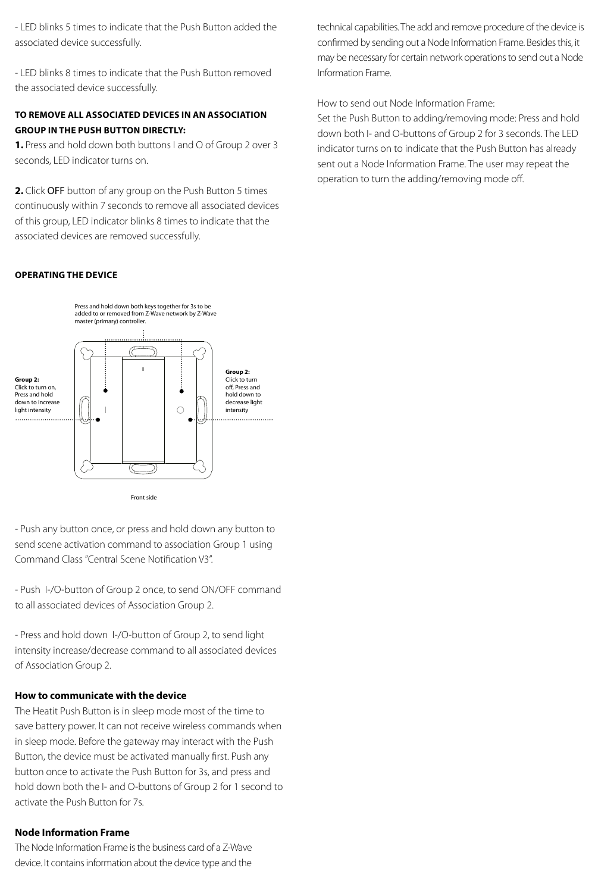- LED blinks 5 times to indicate that the Push Button added the associated device successfully.

- LED blinks 8 times to indicate that the Push Button removed the associated device successfully.

# **TO REMOVE ALL ASSOCIATED DEVICES IN AN ASSOCIATION GROUP IN THE PUSH BUTTON DIRECTLY:**

**1.** Press and hold down both buttons I and O of Group 2 over 3 seconds, LED indicator turns on.

**2.** Click OFF button of any group on the Push Button 5 times continuously within 7 seconds to remove all associated devices of this group, LED indicator blinks 8 times to indicate that the associated devices are removed successfully.

technical capabilities. The add and remove procedure of the device is confirmed by sending out a Node Information Frame. Besides this, it may be necessary for certain network operations to send out a Node Information Frame.

#### How to send out Node Information Frame:

Set the Push Button to adding/removing mode: Press and hold down both I- and O-buttons of Group 2 for 3 seconds. The LED indicator turns on to indicate that the Push Button has already sent out a Node Information Frame. The user may repeat the operation to turn the adding/removing mode off.

#### **OPERATING THE DEVICE**



- Push any button once, or press and hold down any button to send scene activation command to association Group 1 using Command Class "Central Scene Notification V3".

- Push I-/O-button of Group 2 once, to send ON/OFF command to all associated devices of Association Group 2. u<br>e )<br>ci

- Press and hold down I-/O-button of Group 2, to send light intensity increase/decrease command to all associated devices of Association Group 2.

#### **How to communicate with the device**

The Heatit Push Button is in sleep mode most of the time to save battery power. It can not receive wireless commands when in sleep mode. Before the gateway may interact with the Push Button, the device must be activated manually first. Push any button once to activate the Push Button for 3s, and press and hold down both the I- and O-buttons of Group 2 for 1 second to activate the Push Button for 7s.

#### **Node Information Frame**

The Node Information Frame is the business card of a Z-Wave device. It contains information about the device type and the